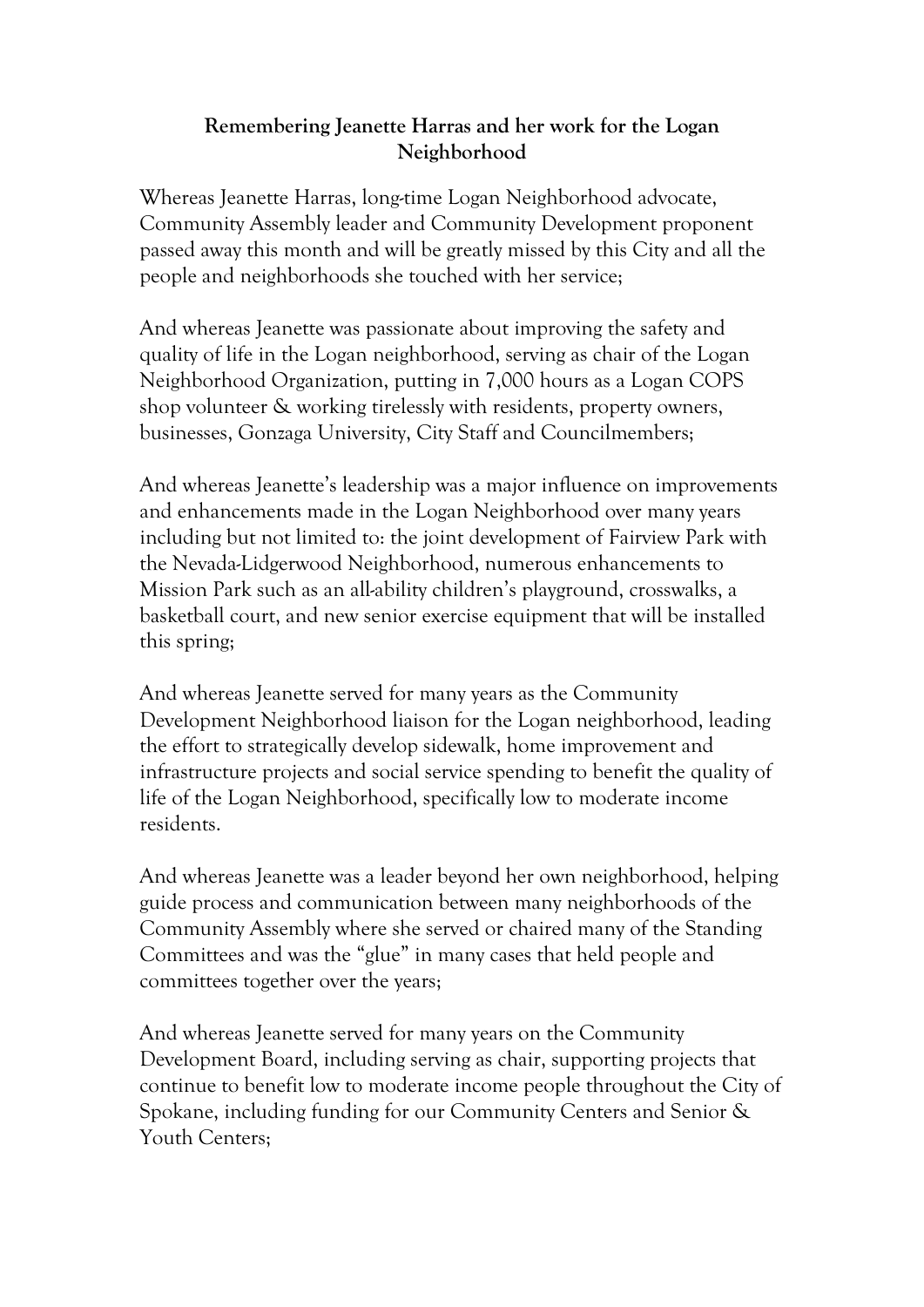## **Remembering Jeanette Harras and her work for the Logan Neighborhood**

Whereas Jeanette Harras, long-time Logan Neighborhood advocate, Community Assembly leader and Community Development proponent passed away this month and will be greatly missed by this City and all the people and neighborhoods she touched with her service;

And whereas Jeanette was passionate about improving the safety and quality of life in the Logan neighborhood, serving as chair of the Logan Neighborhood Organization, putting in 7,000 hours as a Logan COPS shop volunteer & working tirelessly with residents, property owners, businesses, Gonzaga University, City Staff and Councilmembers;

And whereas Jeanette's leadership was a major influence on improvements and enhancements made in the Logan Neighborhood over many years including but not limited to: the joint development of Fairview Park with the Nevada-Lidgerwood Neighborhood, numerous enhancements to Mission Park such as an all-ability children's playground, crosswalks, a basketball court, and new senior exercise equipment that will be installed this spring;

And whereas Jeanette served for many years as the Community Development Neighborhood liaison for the Logan neighborhood, leading the effort to strategically develop sidewalk, home improvement and infrastructure projects and social service spending to benefit the quality of life of the Logan Neighborhood, specifically low to moderate income residents.

And whereas Jeanette was a leader beyond her own neighborhood, helping guide process and communication between many neighborhoods of the Community Assembly where she served or chaired many of the Standing Committees and was the "glue" in many cases that held people and committees together over the years;

And whereas Jeanette served for many years on the Community Development Board, including serving as chair, supporting projects that continue to benefit low to moderate income people throughout the City of Spokane, including funding for our Community Centers and Senior & Youth Centers;